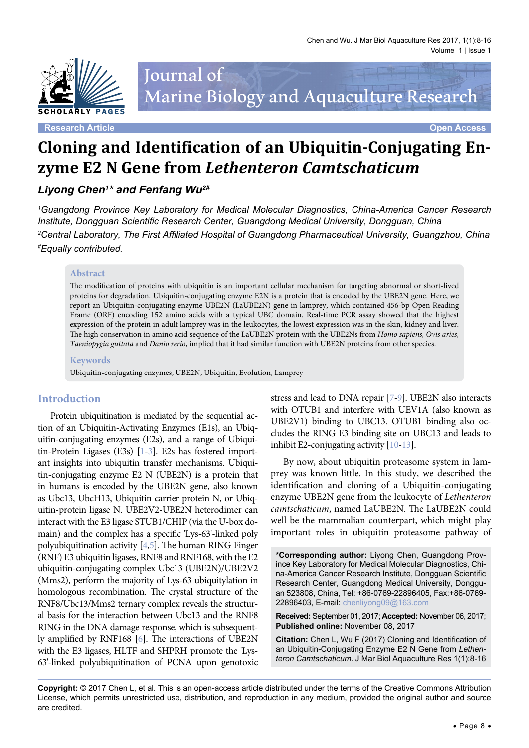

# Journal of Marine Biology and Aquaculture Research

**Research Article Open Access**

# **Cloning and Identification of an Ubiquitin-Conjugating Enzyme E2 N Gene from** *Lethenteron Camtschaticum*

## *Liyong Chen1 \* and Fenfang Wu2#*

*1 Guangdong Province Key Laboratory for Medical Molecular Diagnostics, China-America Cancer Research Institute, Dongguan Scientific Research Center, Guangdong Medical University, Dongguan, China 2 Central Laboratory, The First Affiliated Hospital of Guangdong Pharmaceutical University, Guangzhou, China # Equally contributed.*

#### **Abstract**

The modification of proteins with ubiquitin is an important cellular mechanism for targeting abnormal or short-lived proteins for degradation. Ubiquitin-conjugating enzyme E2N is a protein that is encoded by the UBE2N gene. Here, we report an Ubiquitin-conjugating enzyme UBE2N (LaUBE2N) gene in lamprey, which contained 456-bp Open Reading Frame (ORF) encoding 152 amino acids with a typical UBC domain. Real-time PCR assay showed that the highest expression of the protein in adult lamprey was in the leukocytes, the lowest expression was in the skin, kidney and liver. The high conservation in amino acid sequence of the LaUBE2N protein with the UBE2Ns from *Homo sapiens, Ovis aries, Taeniopygia guttata* and *Danio rerio*, implied that it had similar function with UBE2N proteins from other species.

#### **Keywords**

Ubiquitin-conjugating enzymes, UBE2N, Ubiquitin, Evolution, Lamprey

#### **Introduction**

Protein ubiquitination is mediated by the sequential action of an Ubiquitin-Activating Enzymes (E1s), an Ubiquitin-conjugating enzymes (E2s), and a range of Ubiquitin-Protein Ligases (E3s) [[1](#page-5-0)[-3\]](#page-5-1). E2s has fostered important insights into ubiquitin transfer mechanisms. Ubiquitin-conjugating enzyme E2 N (UBE2N) is a protein that in humans is encoded by the UBE2N gene, also known as Ubc13, UbcH13, Ubiquitin carrier protein N, or Ubiquitin-protein ligase N. UBE2V2-UBE2N heterodimer can interact with the E3 ligase STUB1/CHIP (via the U-box domain) and the complex has a specific 'Lys-63'-linked poly polyubiquitination activity [\[4](#page-5-2)[,5](#page-5-3)]. The human RING Finger (RNF) E3 ubiquitin ligases, RNF8 and RNF168, with the E2 ubiquitin-conjugating complex Ubc13 (UBE2N)/UBE2V2 (Mms2), perform the majority of Lys-63 ubiquitylation in homologous recombination. The crystal structure of the RNF8/Ubc13/Mms2 ternary complex reveals the structural basis for the interaction between Ubc13 and the RNF8 RING in the DNA damage response, which is subsequently amplified by RNF168 [\[6\]](#page-5-4). The interactions of UBE2N with the E3 ligases, HLTF and SHPRH promote the 'Lys-63'-linked polyubiquitination of PCNA upon genotoxic

stress and lead to DNA repair [[7](#page-5-5)[-9](#page-5-6)]. UBE2N also interacts with OTUB1 and interfere with UEV1A (also known as UBE2V1) binding to UBC13. OTUB1 binding also occludes the RING E3 binding site on UBC13 and leads to inhibit E2-conjugating activity [\[10](#page-5-7)[-13](#page-6-0)].

By now, about ubiquitin proteasome system in lamprey was known little. In this study, we described the identification and cloning of a Ubiquitin-conjugating enzyme UBE2N gene from the leukocyte of *Lethenteron camtschaticum*, named LaUBE2N. The LaUBE2N could well be the mammalian counterpart, which might play important roles in ubiquitin proteasome pathway of

**\*Corresponding author:** Liyong Chen, Guangdong Province Key Laboratory for Medical Molecular Diagnostics, China-America Cancer Research Institute, Dongguan Scientific Research Center, Guangdong Medical University, Dongguan 523808, China, Tel: +86-0769-22896405, Fax:+86-0769- 22896403, E-mail: chenliyong09@163.com

**Received:** September 01, 2017; **Accepted:** November 06, 2017; **Published online:** November 08, 2017

**Citation:** Chen L, Wu F (2017) Cloning and Identification of an Ubiquitin-Conjugating Enzyme E2 N Gene from *Lethenteron Camtschaticum*. J Mar Biol Aquaculture Res 1(1):8-16

**Copyright:** © 2017 Chen L, et al. This is an open-access article distributed under the terms of the Creative Commons Attribution License, which permits unrestricted use, distribution, and reproduction in any medium, provided the original author and source are credited.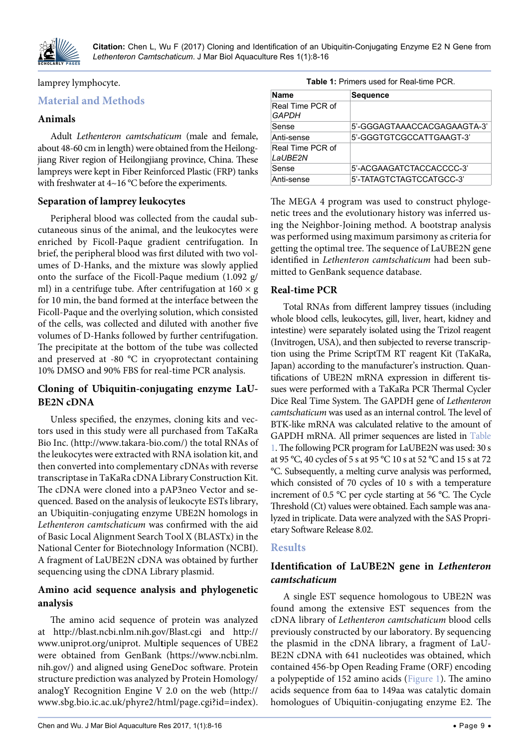

#### lamprey lymphocyte.

## **Material and Methods**

#### **Animals**

Adult *Lethenteron camtschaticum* (male and female, about 48-60 cm in length) were obtained from the Heilongjiang River region of Heilongjiang province, China. These lampreys were kept in Fiber Reinforced Plastic (FRP) tanks with freshwater at 4~16 °C before the experiments.

#### **Separation of lamprey leukocytes**

Peripheral blood was collected from the caudal subcutaneous sinus of the animal, and the leukocytes were enriched by Ficoll-Paque gradient centrifugation. In brief, the peripheral blood was first diluted with two volumes of D-Hanks, and the mixture was slowly applied onto the surface of the Ficoll-Paque medium (1.092 g/ ml) in a centrifuge tube. After centrifugation at  $160 \times g$ for 10 min, the band formed at the interface between the Ficoll-Paque and the overlying solution, which consisted of the cells, was collected and diluted with another five volumes of D-Hanks followed by further centrifugation. The precipitate at the bottom of the tube was collected and preserved at -80 °C in cryoprotectant containing 10% DMSO and 90% FBS for real-time PCR analysis.

## **Cloning of Ubiquitin-conjugating enzyme LaU-BE2N cDNA**

Unless specified, the enzymes, cloning kits and vectors used in this study were all purchased from TaKaRa Bio Inc. [\(http://www.takara-bio.com/](http://www.takara-bio.com/)) the total RNAs of the leukocytes were extracted with RNA isolation kit, and then converted into complementary cDNAs with reverse transcriptase in TaKaRa cDNA Library Construction Kit. The cDNA were cloned into a pAP3neo Vector and sequenced. Based on the analysis of leukocyte ESTs library, an Ubiquitin-conjugating enzyme UBE2N homologs in *Lethenteron camtschaticum* was confirmed with the aid of Basic Local Alignment Search Tool X (BLASTx) in the National Center for Biotechnology Information (NCBI). A fragment of LaUBE2N cDNA was obtained by further sequencing using the cDNA Library plasmid.

#### **Amino acid sequence analysis and phylogenetic analysis**

The amino acid sequence of protein was analyzed at <http://blast.ncbi.nlm.nih.gov/Blast.cgi>and [http://](http://www.uniprot.org/uniprot) [www.uniprot.org/uniprot.](http://www.uniprot.org/uniprot) Mul**t**iple sequences of UBE2 were obtained from GenBank [\(https://www.ncbi.nlm.](https://www.ncbi.nlm.nih.gov/) [nih.gov/](https://www.ncbi.nlm.nih.gov/)) and aligned using GeneDoc software. Protein structure prediction was analyzed by Protein Homology/ analogY Recognition Engine V 2.0 on the web [\(http://](http://www.sbg.bio.ic.ac.uk/phyre2/html/page.cgi?id=index) [www.sbg.bio.ic.ac.uk/phyre2/html/page.cgi?id=index](http://www.sbg.bio.ic.ac.uk/phyre2/html/page.cgi?id=index)).

<span id="page-1-0"></span>

| Name                             | <b>Sequence</b>             |
|----------------------------------|-----------------------------|
| Real Time PCR of<br><i>GAPDH</i> |                             |
| Sense                            | 5'-GGGAGTAAACCACGAGAAGTA-3' |
| Anti-sense                       | 5'-GGGTGTCGCCATTGAAGT-3'    |
| Real Time PCR of<br>LaUBE2N      |                             |
| Sense                            | 5'-ACGAAGATCTACCACCCC-3'    |
| Anti-sense                       | 5'-TATAGTCTAGTCCATGCC-3'    |

The MEGA 4 program was used to construct phylogenetic trees and the evolutionary history was inferred using the Neighbor-Joining method. A bootstrap analysis was performed using maximum parsimony as criteria for getting the optimal tree. The sequence of LaUBE2N gene identified in *Lethenteron camtschaticum* had been submitted to GenBank sequence database.

#### **Real-time PCR**

Total RNAs from different lamprey tissues (including whole blood cells, leukocytes, gill, liver, heart, kidney and intestine) were separately isolated using the Trizol reagent (Invitrogen, USA), and then subjected to reverse transcription using the Prime ScriptTM RT reagent Kit (TaKaRa, Japan) according to the manufacturer's instruction. Quantifications of UBE2N mRNA expression in different tissues were performed with a TaKaRa PCR Thermal Cycler Dice Real Time System. The GAPDH gene of *Lethenteron camtschaticum* was used as an internal control. The level of BTK-like mRNA was calculated relative to the amount of GAPDH mRNA. All primer sequences are listed in [Table](#page-1-0)  [1.](#page-1-0) The following PCR program for LaUBE2N was used: 30 s at 95 °C, 40 cycles of 5 s at 95 °C 10 s at 52 °C and 15 s at 72 °C. Subsequently, a melting curve analysis was performed, which consisted of 70 cycles of 10 s with a temperature increment of 0.5 °C per cycle starting at 56 °C. The Cycle Threshold (Ct) values were obtained. Each sample was analyzed in triplicate. Data were analyzed with the SAS Proprietary Software Release 8.02.

#### **Results**

## **Identification of LaUBE2N gene in** *Lethenteron camtschaticum*

A single EST sequence homologous to UBE2N was found among the extensive EST sequences from the cDNA library of *Lethenteron camtschaticum* blood cells previously constructed by our laboratory. By sequencing the plasmid in the cDNA library, a fragment of LaU-BE2N cDNA with 641 nucleotides was obtained, which contained 456-bp Open Reading Frame (ORF) encoding a polypeptide of 152 amino acids ([Figure 1\)](#page-2-0). The amino acids sequence from 6aa to 149aa was catalytic domain homologues of Ubiquitin-conjugating enzyme E2. The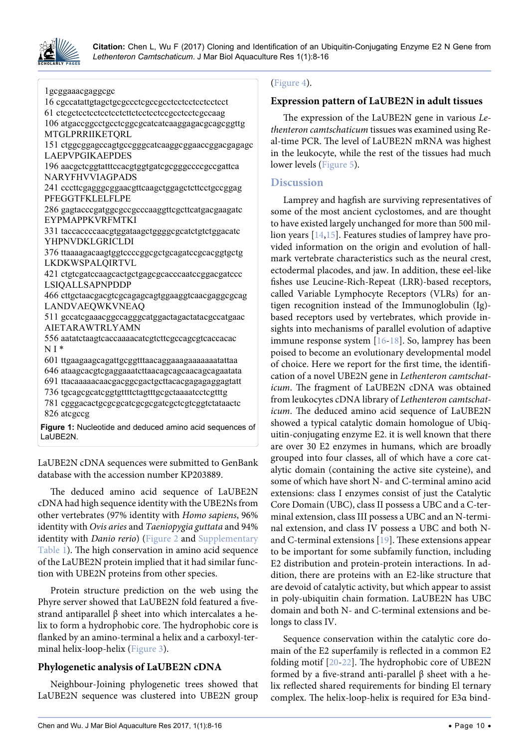

<span id="page-2-0"></span>Ĩ

**Citation:** Chen L, Wu F (2017) Cloning and Identification of an Ubiquitin-Conjugating Enzyme E2 N Gene from Lethenteron Camtschaticum. J Mar Biol Aquaculture Res 1(1):8-16

1gcggaaacgaggcgc 16 cgccatattgtagctgcgccctcgccgcctcctcctcctcctcct 61 ctcgctcctcctcctcctcttctcctcctccgcctcctcgccaag 106 atgaccggcctgcctcggcgcatcatcaaggagacgcagcggttg MTGLPRRIIKETQRL 151 ctggcggagccagtgccgggcatcaaggcggaaccggacgagagc LAEPVPGIKAEPDES 196 aacgctcggtatttccacgtggtgatcgcgggccccgccgattca NARYFHVVIAGPADS 241 cccttcgagggcggaacgttcaagctggagctcttcctgccggag PFEGGTFKLELFLPE 286 gagtacccgatggcgccgcccaaggttcgcttcatgacgaagatc EYPMAPPKVRFMTKI 331 taccaccccaacgtggataagctggggcgcatctgtctggacatc YHPNVDKLGRICLDI 376 ttaaaagacaagtggtccccggcgctgcagatccgcacggtgctg LKDKWSPALQIRTVL 421 ctgtcgatccaagcactgctgagcgcacccaatccggacgatccc LSIQALLSAPNPDDP 466 cttgctaacgacgtcgcagagcagtggaaggtcaacgaggcgcag LANDVAEQWKVNEAQ 511 gccatcgaaacggccagggcatggactagactatacgccatgaac AIETARAWTRLYAMN 556 aatatctaagtcaccaaaacatcgtcttcgccagcgtcaccacac N I \* 601 ttgaagaagcagattgcggtttaacaggaaagaaaaaaatattaa 646 ataagcacgtcgaggaaatcttaacagcagcaacagcagaatata 691 ttacaaaaacaacgacggcgactgcttacacgagagaggagtatt 736 tgcagcgcatcggtgttttctagtttgcgctaaaatcctcgtttg 781 cgggacactgcgcgcatcgcgcgatcgctcgtcggtctataactc 826 atcgccg **Figure 1:** Nucleotide and deduced amino acid sequences of LaUBE2N.

LaUBE2N cDNA sequences were submitted to GenBank database with the accession number KP203889.

The deduced amino acid sequence of LaUBE2N cDNA had high sequence identity with the UBE2Ns from other vertebrates (97% identity with *Homo sapiens*, 96% identity with *Ovis aries* and *Taeniopygia guttata* and 94% identity with *Danio rerio*) ([Figure 2](#page-3-0) and Supplementary [Table 1](#page-7-0)). The high conservation in amino acid sequence of the LaUBE2N protein implied that it had similar function with UBE2N proteins from other species.

Protein structure prediction on the web using the Phyre server showed that LaUBE2N fold featured a fivestrand antiparallel β sheet into which intercalates a helix to form a hydrophobic core. The hydrophobic core is flanked by an amino-terminal a helix and a carboxyl-terminal helix-loop-helix [\(Figure 3\)](#page-3-1).

## **Phylogenetic analysis of LaUBE2N cDNA**

Neighbour-Joining phylogenetic trees showed that LaUBE2N sequence was clustered into UBE2N group

## ([Figure 4\)](#page-4-0).

#### **Expression pattern of LaUBE2N in adult tissues**

The expression of the LaUBE2N gene in various *Lethenteron camtschaticum* tissues was examined using Real-time PCR. The level of LaUBE2N mRNA was highest in the leukocyte, while the rest of the tissues had much lower levels [\(Figure 5\)](#page-5-8).

#### **Discussion**

Lamprey and hagfish are surviving representatives of some of the most ancient cyclostomes, and are thought to have existed largely unchanged for more than 500 million years [[14](#page-6-1),[15\]](#page-6-2). Features studies of lamprey have provided information on the origin and evolution of hallmark vertebrate characteristics such as the neural crest, ectodermal placodes, and jaw. In addition, these eel-like fishes use Leucine-Rich-Repeat (LRR)-based receptors, called Variable Lymphocyte Receptors (VLRs) for antigen recognition instead of the Immunoglobulin (Ig) based receptors used by vertebrates, which provide insights into mechanisms of parallel evolution of adaptive immune response system [\[16-](#page-6-3)[18](#page-6-4)]. So, lamprey has been poised to become an evolutionary developmental model of choice. Here we report for the first time, the identification of a novel UBE2N gene in *Lethenteron camtschaticum*. The fragment of LaUBE2N cDNA was obtained from leukocytes cDNA library of *Lethenteron camtschaticum*. The deduced amino acid sequence of LaUBE2N showed a typical catalytic domain homologue of Ubiquitin-conjugating enzyme E2. it is well known that there are over 30 E2 enzymes in humans, which are broadly grouped into four classes, all of which have a core catalytic domain (containing the active site cysteine), and some of which have short N- and C-terminal amino acid extensions: class I enzymes consist of just the Catalytic Core Domain (UBC), class II possess a UBC and a C-terminal extension, class III possess a UBC and an N-terminal extension, and class IV possess a UBC and both Nand C-terminal extensions [\[19](#page-6-5)]. These extensions appear to be important for some subfamily function, including E2 distribution and protein-protein interactions. In addition, there are proteins with an E2-like structure that are devoid of catalytic activity, but which appear to assist in poly-ubiquitin chain formation. LaUBE2N has UBC domain and both N- and C-terminal extensions and belongs to class IV.

Sequence conservation within the catalytic core domain of the E2 superfamily is reflected in a common E2 folding motif [\[20](#page-6-6)-[22](#page-6-7)]. The hydrophobic core of UBE2N formed by a five-strand anti-parallel β sheet with a helix reflected shared requirements for binding El ternary complex. The helix-loop-helix is required for E3α bind-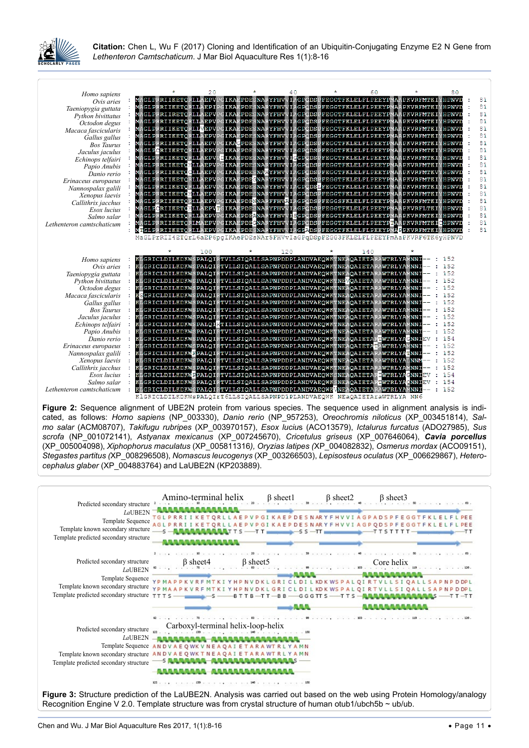

<span id="page-3-0"></span>

| Homo sapiens                         |   |                                                                                                                                                    | 20  |                   | 40  |                                                   | 60  |              |        | 80                      |    |
|--------------------------------------|---|----------------------------------------------------------------------------------------------------------------------------------------------------|-----|-------------------|-----|---------------------------------------------------|-----|--------------|--------|-------------------------|----|
| Ovis aries                           |   | MAGLPRRIIKETORLLAEPVPGIKAEPDESNARYFHVVIAGPODSPFEGGTFKLELFLPEEYPMAAPKVRFMTKIYHPNVD                                                                  |     |                   |     |                                                   |     |              |        |                         | 81 |
| Taeniopygia guttata                  |   | MAGLPRRIIKETORLLAEPIPGIKAEPDESNARYFHVVIAGPODSPFEGGTFKLELFLPEEYPMAAPKVRFMTKIYHPNVD                                                                  |     |                   |     |                                                   |     |              |        |                         | 81 |
| Python bivittatus                    |   | MAGLPRRIIRETORLLAEPVPGIKAEPDESNARYFHVVIAGPODSPFEGGTFKLELFLPEEYPMAAPKVRFMTKIYHPNVD                                                                  |     |                   |     |                                                   |     |              |        |                         | 81 |
| Octodon degus                        |   | MAGLPRRIIKETORLLAEPVPGIKAEPDESNARYFHVVIAGPODSPFEGGTFKLELFLPEEYPMAAPKVRFMTKIYHPNVD                                                                  |     |                   |     |                                                   |     |              |        |                         | 81 |
| Macaca fascicularis                  |   | MAGLPRRIIKETORLIVEPVPGIKAEPDESNARYFHVVIAGPODSPFEGGTFKLELFLPEEYPMAAPKVRFMTKIYHPNVD                                                                  |     |                   |     |                                                   |     |              |        |                         | 81 |
| Gallus gallus                        |   | MAGLPRRIIKETORLLAEPVPGIKAEPDESNARYFHVVIAGPODSPFEGGTFKLELFLPEEYPMAAPKVRFMTKIYHPNVD                                                                  |     |                   |     |                                                   |     |              |        |                         | 81 |
| <b>Bos Taurus</b>                    |   | MAGLPRRIIKETORLLAEPVPGIKAGPDESNARYFHVVIAGPODSPFEGGTFKLELFLPEEYPMAA                                                                                 |     |                   |     |                                                   |     |              |        | <b>IPKVRFMTKIYHPNVD</b> | 81 |
| Jaculus jaculus                      |   | MAGLPCRIIKETQRLLAEPVPGIKAEPDESNARYFHVVIAGPQDSPFEGGTFKLELFLPEEYPMAAPKVRFMTKIYHPNVD                                                                  |     |                   |     |                                                   |     |              |        |                         | 81 |
| Echinops telfairi                    |   | RRIIKETORLLAEPVPL<br>MAGLPI                                                                                                                        |     | IKAEPDESNARYFHVVI |     | <b>GGPODSPFEGGTFKLELFLPEEYPMAAPKVRFMTKIYHPNVD</b> |     |              |        |                         | 81 |
| Papio Anubis                         |   | AGLPRRIIKETOHLLAEPVPGIKAEPDESNARYFHVVIAGPODSPFEGGTFKLELFLPEEYPMA                                                                                   |     |                   |     |                                                   |     |              |        | PKVRFMTKIYHPNVD         | 81 |
| Danio rerio                          |   | MAGLERRIIKETÇOLLAEPVPGIKAEPDESNAHYFHVVIAGPQDSPFEGGTFKLELFLPEEYPMAAPKVRFMTKVYHPNVD                                                                  |     |                   |     |                                                   |     |              |        |                         | 81 |
| Erinaceus europaeus                  |   | MAGLPRRIIKETORLLAEPVPGIKAEPDEGNARYFHVVIAGPODSPFEGGTFKLELFLPEEYPMAAPKVRFMTKIYHPNVD                                                                  |     |                   |     |                                                   |     |              |        |                         | 81 |
| Nannospalax galili                   |   | AGLPRRIIKETQRLLAEPVPGIKAEPDESNARYFHVVIAGPQDSLFEGGTFKLELFLPEEYPMA                                                                                   |     |                   |     |                                                   |     |              |        | PKVRFMTKIYHPNVD         | 81 |
| Xenopus laevis                       |   | MAGLPRRIIKETOHLLAEPVPGIKAEPDESNARYFHVVIAGPODSPFEGGTFKLELFLPEEYPMAAPKVRFMTKIYHPNVD                                                                  |     |                   |     |                                                   |     |              |        |                         | 81 |
| Callithrix jacchus                   |   | MAGLPRRIIKETORLLAEPVPGIKAEPDENNARFFHVAIAGPODSPFEGGSFKLELFLPEEYPMAAPKVRFMTKIYHPNVD                                                                  |     |                   |     |                                                   |     |              |        |                         | 81 |
| Esox lucius                          |   | <b>AGLECRIIKETCHLLAEPVTGIKAEPDESNARYFHVVIAGPCDSPFEGGTFKLELFLPEEYPMAA</b>                                                                           |     |                   |     |                                                   |     |              |        | PKVRFLTKIYHPNVD         | 81 |
| Salmo salar                          |   | AGLPRRIIKETORLLAEPVPGIKAEPDEANARYFHVVISGPODSPFEGGTFKLELFLPEEYPMA                                                                                   |     |                   |     |                                                   |     |              |        | <b>PKVRFMTKIYHPNVD</b>  | 81 |
| Lethenteron camtschaticum            |   | MAGLPRRIIKETQRLMAEPVPGIKAEPDEGNARYFHVVIAGPQDSPFEGGTFKLELFLPEEYPTAAPKVRFMTKICHPNVD                                                                  |     |                   |     |                                                   |     |              |        |                         | 81 |
|                                      |   | IGLPRRIIKETORLLAEPVPGIKAEPDESNARYFHVVIAGPADSPFEGGTFKLELFLPEEYPMAFPKVRFMTKIYHPNVD                                                                   |     |                   |     |                                                   |     |              |        |                         | 81 |
|                                      |   | MaGLPrRII4ETQrL6aEP6pqIKAePDEsNAr5FHVvIaGPqDSpFEGG3FKLELFLPEEYFmAaPKVRF6TK6yHPNVD                                                                  |     |                   |     |                                                   |     |              |        |                         |    |
|                                      |   |                                                                                                                                                    |     |                   |     |                                                   |     |              |        |                         |    |
|                                      |   |                                                                                                                                                    |     |                   |     |                                                   |     |              |        |                         |    |
|                                      |   |                                                                                                                                                    | 100 |                   | 120 |                                                   | 140 |              |        |                         |    |
| Homo sapiens                         |   | KLGRICLDILKDKWSPALQIRTVLLSIQALLSAPNPDDPLANDVAEQWKTNEAQAIETARAWTRLYAMNNI                                                                            |     |                   |     |                                                   |     |              |        | 152<br>152              |    |
| Ovis aries                           | ÷ | KLGRICLDILKDKWSPALQIRTVLLSIQALLSAPNPDDPLANDVAEQWKTNEAQAIETARAWTRLYAMNNI                                                                            |     |                   |     |                                                   |     |              |        | 152                     |    |
| Taeniopygia guttata                  |   | KLGRICLDILKDKWSPALQIRTVLLSIQALLSAPNPDDPLANDVAEQWKTNEAQAIETARAWTRLYAMNNI                                                                            |     |                   |     |                                                   |     |              |        | 152                     |    |
| Python bivittatus                    |   | KLGRICLDILKDKWSPALQIRTVLLSIQALLSAPNPDDPLANDVAEQWKTNEVQAIETARAWTRLYAMNNI<br>KLGRICLDILKDKWSPALQIRTVLLSIQALLSAPNPDDPLANDVAEQWKTNEAQAIETARAWTRLYAMNNI |     |                   |     |                                                   |     |              |        | 152                     |    |
| Octodon degus                        |   | SGRICLDILKDKWSPALQIRTVLLSIQALLSAPNPDDPLANDVAEQWKTNEAQAIETARAWTRLYAMNNI                                                                             |     |                   |     |                                                   |     |              |        | 152                     |    |
| Macaca fascicularis<br>Gallus gallus |   | KLGRICLDILKDKWSPALQIRTVLLSIQALLSAPNPDDPLANDVAEQWKTNEAQAIETARAWTRLYAMNNI                                                                            |     |                   |     |                                                   |     |              |        | 152                     |    |
| <b>Bos Taurus</b>                    |   | KLGRICLDILKDKWSPALQIRTVLLSIQALLSAPNPDDPLANDVAEQWKTNEAQAIETARAWTRLYAMNNI                                                                            |     |                   |     |                                                   |     |              |        | 152                     |    |
| Jaculus jaculus                      |   | KLGRICLDILKDKWSPALQIRTVLLSIQALLSAPNPDDPLANDVAEQWKTNEAQAIETARAWTRLYAMNNI                                                                            |     |                   |     |                                                   |     |              |        | 152                     |    |
| Echinops telfairi                    |   | KLGRICLDILKDKWSPALQIFTILLSIQALLSAPNPDDPLANDVAEQWKTNEAQAIETARAWTRLYAMNNI                                                                            |     |                   |     |                                                   |     |              |        | 152                     |    |
| Papio Anubis                         |   | KLGRICLDILKDKWSPALQIRTVLLSIQALLSAPNPDDPLANDVAEQWKTNEAQAIETARAWTRLYAMNNI                                                                            |     |                   |     |                                                   |     |              |        | 152                     |    |
| Danio rerio                          |   | KLGRICLDILKDKWSPALQIRTVLLSIQALLSAPNPDDPLANDVAEQWKTNEAQAIETARTWTRLYA                                                                                |     |                   |     |                                                   |     |              | GNNTEV | 154                     |    |
| Erinaceus europaeus                  |   | KLGRICLDILKDKWSPALQIRTVLLSIQALLSAPNPDNPLANDVAEQWKTNEAQAIETATAWTRLYAMNNI                                                                            |     |                   |     |                                                   |     |              |        | 152                     |    |
| Nannospalax galili                   |   | KLGRICLDILKDKWFPALQIRTVLLSIQALLSAPNPDDPLANDVAEQWKTNEAQAIETARAWTRLYATNNI                                                                            |     |                   |     |                                                   |     |              |        | 152                     |    |
| Xenopus laevis                       |   | KLGRICLDILKDKWSPALQIRTVLLSIQALLSAPNPDDPLANDVAEQWKTNEAQAIETARAWTRLYALNNM                                                                            |     |                   |     |                                                   |     |              |        | 152                     |    |
| Callithrix jacchus                   |   | GRICLDILKDKWSPALQIRTVLLSIQALLSAPNPDDPLANDVAEQWKTNEAQAIETARAWTRLYAMNNI                                                                              |     |                   |     |                                                   |     |              |        | 152                     |    |
| Esox lucius                          |   | KLGRICLDILKDKWEPALQIRTVLLSIQALLSAPNPDDPLANDVAEQWKSNEAQAIETAR                                                                                       |     |                   |     |                                                   |     | WTRLYACNNIEW |        | 154                     |    |
| Salmo salar                          | ÷ | KLGRICLDILKDKWSPALQIRTVLLSIQALLSAPNPDDPLANDVAEQWKSNEAQAIETARTWTRLYAQNNIEV                                                                          |     |                   |     |                                                   |     |              |        | 154                     |    |
| Lethenteron camtschaticum            |   | KLGRICLDILKDKWSPALOIRTVLLSIOALLSAPNPDDPLANDVAEOWKWNEAOAIETARAWTRLYAMNNI<br>KLGRICLDILKDKWSPALQIrT6LLSIQALLSAPNPD1PLANDVAEQWK NEaQAIETAraWTRLYA NN6 |     |                   |     |                                                   |     |              |        | 152                     |    |

**Figure 2:** Sequence alignment of UBE2N protein from various species. The sequence used in alignment analysis is indicated, as follows: *Homo sapiens* (NP\_003330), *Danio rerio* (NP\_957253), *Oreochromis niloticus* (XP\_003451814), *Salmo salar* (ACM08707), *Takifugu rubripes* (XP\_003970157), *Esox luciu*s (ACO13579), *Ictalurus furcatus* (ADO27985), *Sus scrofa* (NP\_001072141), *Astyanax mexicanus* (XP\_007245670), *Cricetulus griseus* (XP\_007646064), *Cavia porcellus* (XP\_005004098), *Xiphophorus maculatus* (XP\_005811316*), Oryzias latipes (*XP\_004082832), *Osmerus mordax* (ACO09151), *Stegastes partitus (*XP\_008296508), *Nomascus leucogenys* (XP\_003266503), *Lepisosteus oculatus* (XP\_006629867), *Heterocephalus glaber* (XP\_004883764) and LaUBE2N (KP203889).

<span id="page-3-1"></span>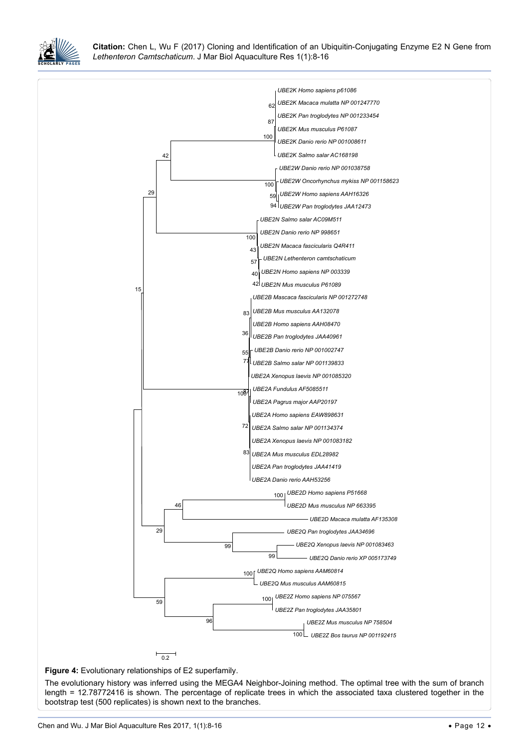

<span id="page-4-0"></span>Ĩ

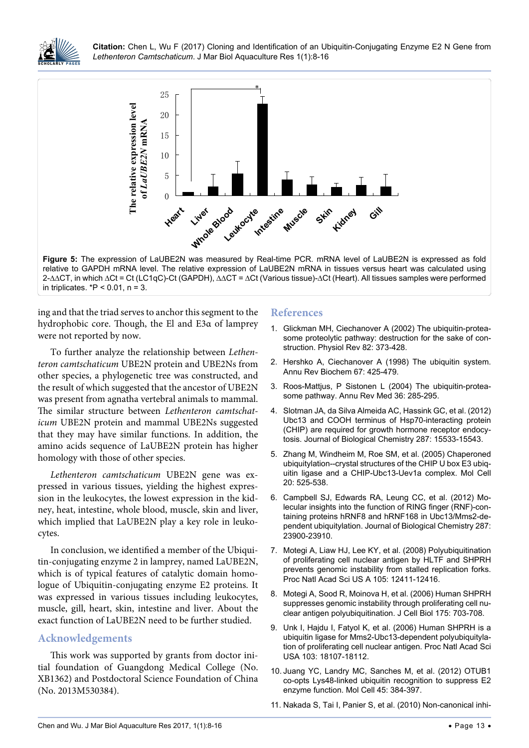<span id="page-5-8"></span>

**Figure 5:** The expression of LaUBE2N was measured by Real-time PCR. mRNA level of LaUBE2N is expressed as fold relative to GAPDH mRNA level. The relative expression of LaUBE2N mRNA in tissues versus heart was calculated using 2-∆∆CT, in which ∆Ct = Ct (LC1qC)-Ct (GAPDH), ∆∆CT = ∆Ct (Various tissue)-∆Ct (Heart). All tissues samples were performed in triplicates.  $*P < 0.01$ , n = 3.

ing and that the triad serves to anchor this segment to the hydrophobic core. Though, the El and E3α of lamprey were not reported by now.

To further analyze the relationship between *Lethenteron camtschaticum* UBE2N protein and UBE2Ns from other species, a phylogenetic tree was constructed, and the result of which suggested that the ancestor of UBE2N was present from agnatha vertebral animals to mammal. The similar structure between *Lethenteron camtschaticum* UBE2N protein and mammal UBE2Ns suggested that they may have similar functions. In addition, the amino acids sequence of LaUBE2N protein has higher homology with those of other species.

*Lethenteron camtschaticum* UBE2N gene was expressed in various tissues, yielding the highest expression in the leukocytes, the lowest expression in the kidney, heat, intestine, whole blood, muscle, skin and liver, which implied that LaUBE2N play a key role in leukocytes.

In conclusion, we identified a member of the Ubiquitin-conjugating enzyme 2 in lamprey, named LaUBE2N, which is of typical features of catalytic domain homologue of Ubiquitin-conjugating enzyme E2 proteins. It was expressed in various tissues including leukocytes, muscle, gill, heart, skin, intestine and liver. About the exact function of LaUBE2N need to be further studied.

#### **Acknowledgements**

This work was supported by grants from doctor initial foundation of Guangdong Medical College (No. XB1362) and Postdoctoral Science Foundation of China (No. 2013M530384).

#### **References**

- <span id="page-5-0"></span>1. [Glickman MH, Ciechanover A \(2002\) The ubiquitin-protea](https://www.ncbi.nlm.nih.gov/pubmed/11917093)[some proteolytic pathway: destruction for the sake of con](https://www.ncbi.nlm.nih.gov/pubmed/11917093)[struction. Physiol Rev 82: 373-428.](https://www.ncbi.nlm.nih.gov/pubmed/11917093)
- 2. [Hershko A, Ciechanover A \(1998\) The ubiquitin system.](https://www.ncbi.nlm.nih.gov/pubmed/9759494)  [Annu Rev Biochem 67: 425-479.](https://www.ncbi.nlm.nih.gov/pubmed/9759494)
- <span id="page-5-1"></span>3. Roos-Mattjus, P Sistonen L (2004) The ubiquitin-proteasome pathway. Annu Rev Med 36: 285-295.
- <span id="page-5-2"></span>4. [Slotman JA, da Silva Almeida AC, Hassink GC, et al. \(2012\)](http://www.jbc.org/content/287/19/15533.full)  [Ubc13 and COOH terminus of Hsp70-interacting protein](http://www.jbc.org/content/287/19/15533.full)  [\(CHIP\) are required for growth hormone receptor endocy](http://www.jbc.org/content/287/19/15533.full)[tosis. Journal of Biological Chemistry](http://www.jbc.org/content/287/19/15533.full) 287: 15533-15543.
- <span id="page-5-3"></span>5. [Zhang M, Windheim M, Roe SM, et al. \(2005\) Chaperoned](https://www.ncbi.nlm.nih.gov/pubmed/16307917)  [ubiquitylation--crystal structures of the CHIP U box E3 ubiq](https://www.ncbi.nlm.nih.gov/pubmed/16307917)[uitin ligase and a CHIP-Ubc13-Uev1a complex. Mol Cell](https://www.ncbi.nlm.nih.gov/pubmed/16307917)  [20: 525-538.](https://www.ncbi.nlm.nih.gov/pubmed/16307917)
- <span id="page-5-4"></span>6. [Campbell SJ, Edwards RA, Leung CC, et al. \(2012\) Mo](http://www.jbc.org/content/287/28/23900.full)[lecular insights into the function of RING finger \(RNF\)-con](http://www.jbc.org/content/287/28/23900.full)[taining proteins hRNF8 and hRNF168 in Ubc13/Mms2-de](http://www.jbc.org/content/287/28/23900.full)[pendent ubiquitylation. Journal of](http://www.jbc.org/content/287/28/23900.full) Biological Chemistry 287: [23900-23910.](http://www.jbc.org/content/287/28/23900.full)
- <span id="page-5-5"></span>7. [Motegi A, Liaw HJ, Lee KY, et al. \(2008\) Polyubiquitination](https://www.ncbi.nlm.nih.gov/pubmed/18719106)  [of proliferating cell nuclear antigen by HLTF and SHPRH](https://www.ncbi.nlm.nih.gov/pubmed/18719106)  [prevents genomic instability from stalled replication forks.](https://www.ncbi.nlm.nih.gov/pubmed/18719106)  [Proc Natl Acad Sci US A 105: 12411-12416.](https://www.ncbi.nlm.nih.gov/pubmed/18719106)
- 8. [Motegi A, Sood R, Moinova H, et al. \(2006\) Human SHPRH](https://www.ncbi.nlm.nih.gov/pmc/articles/PMC2064669/)  [suppresses genomic instability through proliferating cell nu](https://www.ncbi.nlm.nih.gov/pmc/articles/PMC2064669/)[clear antigen polyubiquitination. J Cell Biol 175: 703-708.](https://www.ncbi.nlm.nih.gov/pmc/articles/PMC2064669/)
- <span id="page-5-6"></span>9. [Unk I, Hajdu I, Fatyol K, et al. \(2006\) Human SHPRH is a](https://www.ncbi.nlm.nih.gov/pubmed/17108083)  [ubiquitin ligase for Mms2-Ubc13-dependent polyubiquityla](https://www.ncbi.nlm.nih.gov/pubmed/17108083)[tion of proliferating cell nuclear antigen. Proc Natl Acad Sci](https://www.ncbi.nlm.nih.gov/pubmed/17108083)  [USA 103: 18107-18112.](https://www.ncbi.nlm.nih.gov/pubmed/17108083)
- <span id="page-5-7"></span>10. [Juang YC, Landry MC, Sanches M, et al. \(2012\) OTUB1](https://www.ncbi.nlm.nih.gov/pubmed/22325355)  [co-opts Lys48-linked ubiquitin recognition to suppress E2](https://www.ncbi.nlm.nih.gov/pubmed/22325355)  [enzyme function. Mol Cell 45: 384-397.](https://www.ncbi.nlm.nih.gov/pubmed/22325355)
- 11. [Nakada S, Tai I, Panier S, et al. \(2010\) Non-canonical inhi](https://www.ncbi.nlm.nih.gov/pubmed/20725033)-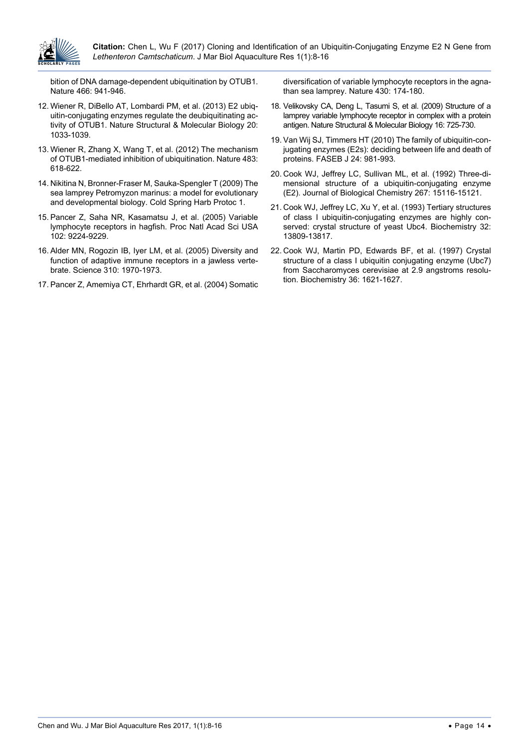

[bition of DNA damage-dependent ubiquitination by OTUB1.](https://www.ncbi.nlm.nih.gov/pubmed/20725033)  [Nature 466: 941-946.](https://www.ncbi.nlm.nih.gov/pubmed/20725033)

- 12. [Wiener R, DiBello AT, Lombardi PM, et al. \(2013\) E2 ubiq](https://www.nature.com/articles/nsmb.2655)[uitin-conjugating enzymes regulate the deubiquitinating ac](https://www.nature.com/articles/nsmb.2655)tivity of OTUB1. Nature [Structural & Molecular Biology](https://www.nature.com/articles/nsmb.2655) 20: [1033-1039.](https://www.nature.com/articles/nsmb.2655)
- <span id="page-6-0"></span>13. [Wiener R, Zhang X, Wang T, et al. \(2012\) The mechanism](https://www.ncbi.nlm.nih.gov/pubmed/22367539)  [of OTUB1-mediated inhibition of ubiquitination. Nature 483:](https://www.ncbi.nlm.nih.gov/pubmed/22367539)  [618-622.](https://www.ncbi.nlm.nih.gov/pubmed/22367539)
- <span id="page-6-1"></span>14. [Nikitina N, Bronner-Fraser M, Sauka-Spengler T \(2009\) The](http://cshprotocols.cshlp.org/content/2009/1/pdb.emo113.abstract)  [sea lamprey Petromyzon marinus: a model for evolutionary](http://cshprotocols.cshlp.org/content/2009/1/pdb.emo113.abstract)  [and developmental biology. Cold Spring](http://cshprotocols.cshlp.org/content/2009/1/pdb.emo113.abstract) Harb Protoc 1.
- <span id="page-6-2"></span>15. [Pancer Z, Saha NR, Kasamatsu J, et al. \(2005\) Variable](https://www.ncbi.nlm.nih.gov/pubmed/15964979)  [lymphocyte receptors in hagfish. Proc Natl Acad Sci USA](https://www.ncbi.nlm.nih.gov/pubmed/15964979)  [102: 9224-9229.](https://www.ncbi.nlm.nih.gov/pubmed/15964979)
- <span id="page-6-3"></span>16. [Alder MN, Rogozin IB, Iyer LM, et al. \(2005\) Diversity and](https://www.ncbi.nlm.nih.gov/pubmed/16373579)  [function of adaptive immune receptors in a jawless verte](https://www.ncbi.nlm.nih.gov/pubmed/16373579)[brate. Science 310: 1970-1973.](https://www.ncbi.nlm.nih.gov/pubmed/16373579)
- 17. [Pancer Z, Amemiya CT, Ehrhardt GR, et al. \(2004\) Somatic](https://www.ncbi.nlm.nih.gov/pubmed/15241406)

[diversification of variable lymphocyte receptors in the agna](https://www.ncbi.nlm.nih.gov/pubmed/15241406)[than sea lamprey. Nature 430: 174-180.](https://www.ncbi.nlm.nih.gov/pubmed/15241406)

- <span id="page-6-4"></span>18. [Velikovsky CA, Deng L, Tasumi S, et al. \(2009\) Structure of a](https://www.nature.com/articles/nsmb.1619)  [lamprey variable lymphocyte receptor in complex with a protein](https://www.nature.com/articles/nsmb.1619)  antigen. Nature [Structural & Molecular Biology](https://www.nature.com/articles/nsmb.1619) 16: 725-730.
- <span id="page-6-5"></span>19. [Van Wij SJ, Timmers HT \(2010\) The family of ubiquitin-con](https://www.ncbi.nlm.nih.gov/pubmed/19940261)[jugating enzymes \(E2s\): deciding between life and death of](https://www.ncbi.nlm.nih.gov/pubmed/19940261)  [proteins. FASEB J 24: 981-993.](https://www.ncbi.nlm.nih.gov/pubmed/19940261)
- <span id="page-6-6"></span>20. [Cook WJ, Jeffrey LC, Sullivan ML, et al. \(1992\) Three-di](http://www.jbc.org/content/267/21/15116.short)[mensional structure of a ubiquitin-conjugating enzyme](http://www.jbc.org/content/267/21/15116.short)  (E2). Journal of [Biological Chemistry](http://www.jbc.org/content/267/21/15116.short) 267: 15116-15121.
- 21. [Cook WJ, Jeffrey LC, Xu Y, et al. \(1993\) Tertiary structures](https://www.ncbi.nlm.nih.gov/labs/articles/8268156/)  [of class I ubiquitin-conjugating enzymes are highly con](https://www.ncbi.nlm.nih.gov/labs/articles/8268156/)[served: crystal structure of yeast Ubc4. Biochemistry 32:](https://www.ncbi.nlm.nih.gov/labs/articles/8268156/)  [13809-13817.](https://www.ncbi.nlm.nih.gov/labs/articles/8268156/)
- <span id="page-6-7"></span>22. [Cook WJ, Martin PD, Edwards BF, et al. \(1997\) Crystal](http://pubs.acs.org/doi/abs/10.1021/bi962639e)  [structure of a class I ubiquitin conjugating enzyme \(Ubc7\)](http://pubs.acs.org/doi/abs/10.1021/bi962639e)  [from Saccharomyces cerevisiae at 2.9 angstroms resolu](http://pubs.acs.org/doi/abs/10.1021/bi962639e)[tion. Biochemistry 36: 1621-1627.](http://pubs.acs.org/doi/abs/10.1021/bi962639e)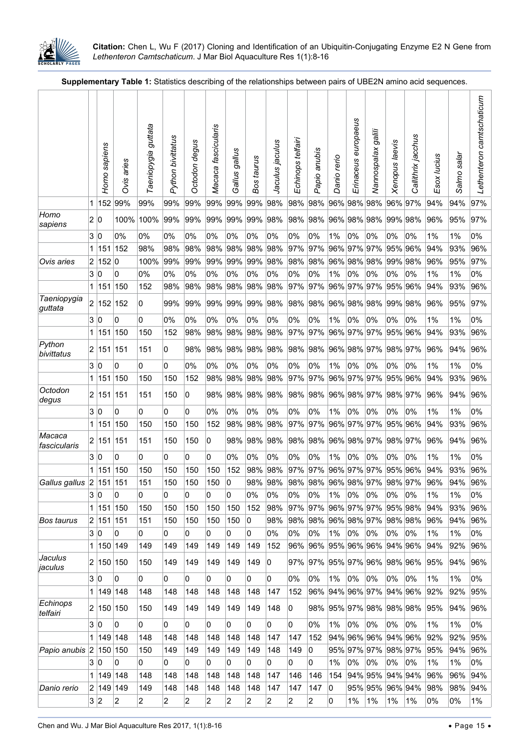

<span id="page-7-0"></span>**Supplementary Table 1:** Statistics describing of the relationships between pairs of UBE2N amino acid sequences.

|                                                         |                         | Homo sapiens | aries<br>Ovis | guttata<br>Taeniopygia | Python bivittatus | Octodon degus  | fascicularis<br>Macaca | gallus<br>Gallus | Bos taurus | Jaculus jaculus | Echinops telfairi | anubis<br>Papio         | Danio rerio            | Erinaceus europaeus | Nannospalax galili            | Xenopus laevis     | Callithrix jacchus | Esox lucius | Salmo salar | camtschaticum<br>Lethenteron |
|---------------------------------------------------------|-------------------------|--------------|---------------|------------------------|-------------------|----------------|------------------------|------------------|------------|-----------------|-------------------|-------------------------|------------------------|---------------------|-------------------------------|--------------------|--------------------|-------------|-------------|------------------------------|
|                                                         | 1                       | 152          | 99%           | 99%                    | 99%               | 99%            | 99%                    | 99%              | 99%        | 98%             | 98%               | 98%                     |                        | 96% 98% 98%         |                               | 96% 97%            |                    | 94%         | 94%         | 97%                          |
| Homo<br>sapiens                                         | 2 0                     |              | 100%          | 100%                   | 99%               | 99%            | 99%                    | 99%              | 99%        | 98%             | 98%               |                         |                        |                     | 98% 96% 98% 98%               | 99% 98%            |                    | 96%         | 95%         | 97%                          |
|                                                         | 3 0                     |              | 0%            | 0%                     | 0%                | 0%             | 0%                     | 0%               | 0%         | 0%              | 0%                | 0%                      | 1%                     | 0%                  | 0%                            | 0%                 | 0%                 | 1%          | 1%          | 0%                           |
|                                                         | 1                       | 151          | 152           | 98%                    | 98%               | 98%            | 98%                    | 98%              | 98%        | 98%             | 97%               | 97%                     | 96% 97%                |                     | 97%                           | 95% 96%            |                    | 94%         | 93%         | 96%                          |
| Ovis aries                                              | 2                       | 152 0        |               | 100%                   | 99%               | 99%            | 99%                    | 99%              | 99%        | 98%             | 98%               | 98%                     | 96% 98% 98%            |                     |                               | 99% 98%            |                    | 96%         | 95%         | 97%                          |
|                                                         | 3                       | 10           | 0             | 0%                     | 0%                | 0%             | 0%                     | 0%               | 0%         | 0%              | 0%                | 0%                      | 1%                     | 0%                  | 0%                            | 0%                 | 0%                 | 1%          | 1%          | 0%                           |
|                                                         | 1                       | 151          | 150           | 152                    | 98%               | 98%            | 98%                    | 98%              | 98%        | 98%             | 97%               | 97%                     |                        | 96% 97%             | 97%                           | 95% 96%            |                    | 94%         | 93%         | 96%                          |
| Taeniopygia<br>guttata                                  | $\overline{\mathbf{c}}$ | 152          | 152           | 0                      | 99%               | 99%            | 99%                    | 99%              | 99%        | 98%             | 98%               | 98%                     | 96% 98% 98%            |                     |                               | 99% 98%            |                    | 96%         | 95%         | 97%                          |
|                                                         | 3                       | 0            | 0             | 0                      | 0%                | 0%             | 0%                     | 0%               | 0%         | 0%              | 0%                | 0%                      | 1%                     | 0%                  | 0%                            | 0%                 | 0%                 | 1%          | 1%          | 0%                           |
| Python                                                  | 1<br>$\overline{2}$     | 151<br> 151  | 150<br>151    | 150<br>151             | 152<br>0          | 98%<br>98%     | 98%<br>98%             | 98%<br>98%       | 98%<br>98% | 98%<br>98%      | 97%<br>98%        | 97%<br>98%              | 96% 97%<br>96% 98% 97% |                     | 97%                           | 95% 96%<br>98% 97% |                    | 94%<br>96%  | 93%<br>94%  | 96%<br>96%                   |
| bivittatus                                              |                         |              |               |                        |                   |                |                        |                  |            |                 |                   |                         |                        |                     |                               |                    |                    |             |             |                              |
|                                                         | 3 0                     |              | 0             | 0                      | 0                 | 0%             | 0%                     | 0%               | 0%         | 0%              | 0%                | 0%                      | 1%                     | 0%                  | 0%                            | 0%                 | 0%                 | 1%          | 1%          | 0%                           |
| Octodon                                                 | 1                       | 151<br>2 151 | 150<br>151    | 150<br>151             | 150<br>150        | 152<br>0       | 98%<br>98%             | 98%<br>98%       | 98%<br>98% | 98%<br>98%      | 97%<br>98%        | 97%<br>98% 96% 98% 97%  | 96% 97% 97%            |                     |                               | 95% 96%<br>98% 97% |                    | 94%<br>96%  | 93%<br>94%  | 96%<br>96%                   |
| degus                                                   | 3 0                     |              | 0             | 0                      | 0                 | 0              | 0%                     | 0%               | 0%         | 0%              | 0%                | 0%                      | 1%                     | 0%                  | 0%                            | 0%                 | 0%                 | 1%          | 1%          | 0%                           |
|                                                         | 1                       | 151          | 150           | 150                    | 150               | 150            | 152                    | 98%              | 98%        | 98%             | 97%               | 97%                     |                        |                     | 96% 97% 97%                   | 95% 96%            |                    | 94%         | 93%         | 96%                          |
| Macaca<br>fascicularis                                  |                         | 2 151        | 151           | 151                    | 150               | 150            | 0                      | 98%              | 98%        | 98%             | 98%               | 98% 96% 98% 97%         |                        |                     |                               | 98% 97%            |                    | 96%         | 94%         | 96%                          |
|                                                         | 3 0                     |              | 0             | 0                      | 0                 | 0              | 0                      | 0%               | 0%         | 0%              | 0%                | 0%                      | 1%                     | 0%                  | 0%                            | 0%                 | 0%                 | 1%          | 1%          | 0%                           |
|                                                         | 1                       | 151          | 150           | 150                    | 150               | 150            | 150                    | 152              | 98%        | 98%             | 97%               | 97%                     | 96% 97% 97%            |                     |                               | 95% 96%            |                    | 94%         | 93%         | 96%                          |
| Gallus gallus 2 151 151                                 |                         |              |               | 151                    | 150               | 150            | 150                    | 0                | 98%        | 98%             | 98%               | 98% 96% 98% 97% 98% 97% |                        |                     |                               |                    |                    | 96%         | 94%         | 96%                          |
|                                                         | 3 0                     |              | 0             | 0                      | 0                 | 0              | 0                      | 0                | 0%         | 0%              | 0%                | 0%                      | 1%                     | 0%                  | 0%                            | 0%                 | 0%                 | 1%          | 1%          | 0%                           |
|                                                         | 1                       | 151          | 150           | 150                    | 150               | 150            | 150                    | 150              | 152        | 98%             | 97%               | 97% 96% 97% 97% 95% 98% |                        |                     |                               |                    |                    | 94%         | 93%         | 96%                          |
| Bos taurus                                              |                         | 2 151 151    |               | 151                    | 150               | 150            | 150                    | 150              | 0          | 98%             | 98%               | 98% 96% 98% 97% 98% 98% |                        |                     |                               |                    |                    | 96%         | 94%         | 96%                          |
|                                                         | 3 0                     |              | 0             | 0                      | 0                 | 0              | 0                      | 0                | 0          | 0%              | 0%                | 0%                      | 1%                     | 0%                  | 0%                            | 0%                 | 0%                 | 1%          | 1%          | 0%                           |
|                                                         | 1                       | 150 149      |               | 149                    | 149               | 149            | 149                    | 149              | 149        | 152             | 96%               | 96% 95% 96% 96% 94% 96% |                        |                     |                               |                    |                    | 94%         | 92%         | 96%                          |
| Jaculus<br>jaculus                                      |                         | 2 150 150    |               | 150                    | 149               | 149            | 149                    | 149              | 149        | 0               | 97%               | 97% 95% 97% 96% 98% 96% |                        |                     |                               |                    |                    | 95%         | 94%         | 96%                          |
|                                                         | 3 0<br>1                | 149 148      | 0             | 0<br>148               | 0<br>148          | 0<br>148       | 0<br>148               | 0<br>148         | 0<br>148   | 0<br>147        | 0%<br>152         | 0%                      | $1\%$                  | 0%                  | 0%<br>96% 94% 96% 97% 94% 96% | 0%                 | 0%                 | 1%<br>92%   | 1%<br>92%   | 0%<br>95%                    |
| Echinops                                                |                         | 2 150 150    |               | 150                    | 149               | 149            | 149                    | 149              | 149        | 148             | 0                 |                         |                        |                     | 98% 95% 97% 98% 98% 98%       |                    |                    | 95%         | 94%         | 96%                          |
| telfairi                                                | 3 0                     |              | 0             | 0                      | 0                 | 0              | 0                      | 0                | 0          | 0               | 0                 | 0%                      | 1%                     | 0%                  | $0\%$                         | 0%                 | 0%                 | 1%          | 1%          | 0%                           |
|                                                         |                         | 1 149 148    |               | 148                    | 148               | 148            | 148                    | 148              | 148        | 147             | 147               | 152                     |                        |                     | 94% 96% 96% 94% 96%           |                    |                    | 92%         | 92%         | 95%                          |
| Papio anubis 2 150 150                                  |                         |              |               | 150                    | 149               | 149            | 149                    | 149              | 149        | 148             | 149               | 0                       |                        |                     | 95% 97% 97%                   |                    | 98% 97%            | 95%         | 94%         | 96%                          |
|                                                         | 3 0                     |              | 0             | 0                      | 0                 | 0              | 0                      | 0                | 0          | 0               | 0                 | 0                       | 1%                     | 0%                  | 0%                            | 0%                 | 0%                 | 1%          | 1%          | 0%                           |
|                                                         | 1                       | 149 148      |               | 148                    | 148               | 148            | 148                    | 148              | 148        | 147             | 146               | 146                     | 154                    |                     | 94% 95%                       | 94% 94%            |                    | 96%         | 96%         | 94%                          |
| Danio rerio                                             |                         | 2 149 149    |               | 149                    | 148               | 148            | 148                    | 148              | 148        | 147             | 147               | 147                     | 0                      |                     |                               |                    | 95% 95% 96% 94%    | 98%         | 98%         | 94%                          |
|                                                         | 3 2                     |              | 2             | 2                      | 2                 | $\overline{2}$ | $\overline{2}$         | 2                | 2          | 2               | $\overline{c}$    | 2                       | 0                      | 1%                  | 1%                            | $1\%$              | 1%                 | 0%          | 0%          | $1\%$                        |
| Chen and Wu. J Mar Biol Aquaculture Res 2017, 1(1):8-16 |                         |              |               |                        |                   |                |                        |                  |            |                 |                   |                         |                        |                     |                               |                    |                    |             |             | $\bullet$ Page 15 $\bullet$  |